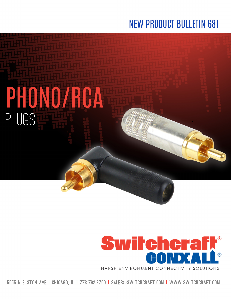# **NEW PRODUCT BULLETIN 681**

# PHONO/RCA PLUGS



5555 N ELSTON AVE I CHICAGO. IL I 773.792.2700 I SALES@SWITCHCRAFT.COM I WWW.SWITCHCRAFT.COM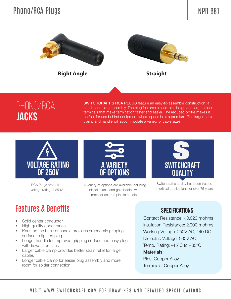

## phono/rca **jacks**

SWITCHCRAFT'S RCA PLUGS feature an easy-to-assemble construction: a handle and plug assembly. The plug features a solid-pin design and large solder terminals that make termination faster and easier. The reduced profile makes it perfect for use behind equipment where space is at a premium. The larger cable clamp and handle will accommodate a variety of cable sizes.



RCA Plugs are built a voltage rating of 250V



A variety of options are available including nickel, black, and gold bodies with metal or colored plastic handles



Switchcraft's quality has been trusted in critical applications for over 75 years

### Features & Benefits

- Solid center conductor
- High quality appearance
- Knurl on the back of handle provides ergonomic gripping surface to tighten plug
- Longer handle for improved gripping surface and easy plug withdrawal from jack
- Larger cable clamp provides better strain relief for large cables
- Longer cable clamp for easier plug assembly and more room for solder connection

#### **SPECIFICATIONS**

 Contact Resistance: <0.020 mohms Insulation Resistance: 2,000 mohms Working Voltage: 250V AC, 140 DC Dielectric Voltage: 500V AC Temp. Rating: -45°C to +85°C Materials: Pins: Copper Alloy

Terminals: Copper Alloy